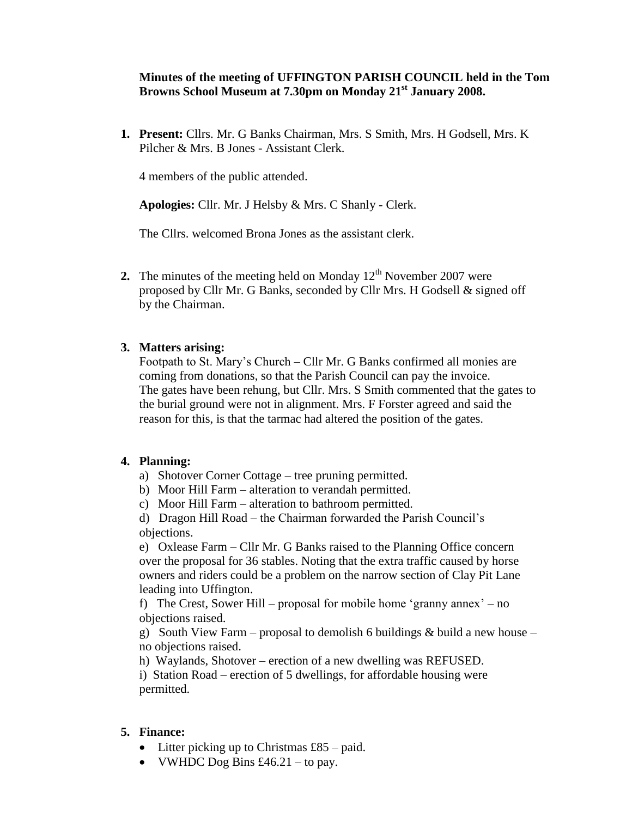### **Minutes of the meeting of UFFINGTON PARISH COUNCIL held in the Tom Browns School Museum at 7.30pm on Monday 21st January 2008.**

**1. Present:** Cllrs. Mr. G Banks Chairman, Mrs. S Smith, Mrs. H Godsell, Mrs. K Pilcher & Mrs. B Jones - Assistant Clerk.

4 members of the public attended.

**Apologies:** Cllr. Mr. J Helsby & Mrs. C Shanly - Clerk.

The Cllrs. welcomed Brona Jones as the assistant clerk.

**2.** The minutes of the meeting held on Monday  $12<sup>th</sup>$  November 2007 were proposed by Cllr Mr. G Banks, seconded by Cllr Mrs. H Godsell & signed off by the Chairman.

#### **3. Matters arising:**

Footpath to St. Mary's Church – Cllr Mr. G Banks confirmed all monies are coming from donations, so that the Parish Council can pay the invoice. The gates have been rehung, but Cllr. Mrs. S Smith commented that the gates to the burial ground were not in alignment. Mrs. F Forster agreed and said the reason for this, is that the tarmac had altered the position of the gates.

#### **4. Planning:**

- a) Shotover Corner Cottage tree pruning permitted.
- b) Moor Hill Farm alteration to verandah permitted.

c) Moor Hill Farm – alteration to bathroom permitted.

d) Dragon Hill Road – the Chairman forwarded the Parish Council's objections.

e) Oxlease Farm – Cllr Mr. G Banks raised to the Planning Office concern over the proposal for 36 stables. Noting that the extra traffic caused by horse owners and riders could be a problem on the narrow section of Clay Pit Lane leading into Uffington.

f) The Crest, Sower Hill – proposal for mobile home 'granny annex' – no objections raised.

g) South View Farm – proposal to demolish 6 buildings  $&$  build a new house – no objections raised.

h) Waylands, Shotover – erection of a new dwelling was REFUSED.

i) Station Road – erection of 5 dwellings, for affordable housing were permitted.

### **5. Finance:**

- Litter picking up to Christmas £85 paid.
- VWHDC Dog Bins  $\text{\pounds}46.21 \text{to pay.}$